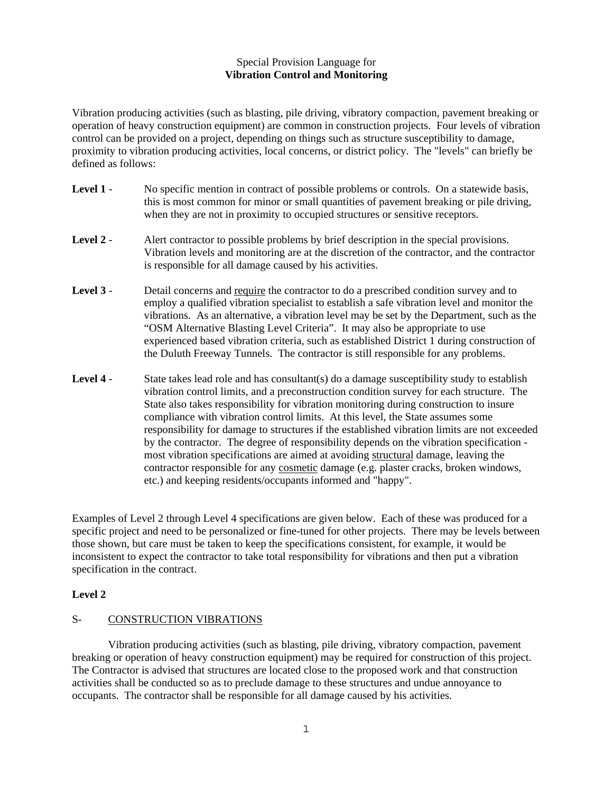# Special Provision Language for **Vibration Control and Monitoring**

Vibration producing activities (such as blasting, pile driving, vibratory compaction, pavement breaking or operation of heavy construction equipment) are common in construction projects. Four levels of vibration control can be provided on a project, depending on things such as structure susceptibility to damage, proximity to vibration producing activities, local concerns, or district policy. The "levels" can briefly be defined as follows:

- Level 1 No specific mention in contract of possible problems or controls. On a statewide basis, this is most common for minor or small quantities of pavement breaking or pile driving, when they are not in proximity to occupied structures or sensitive receptors.
- Level 2 Alert contractor to possible problems by brief description in the special provisions. Vibration levels and monitoring are at the discretion of the contractor, and the contractor is responsible for all damage caused by his activities.
- **Level 3** Detail concerns and require the contractor to do a prescribed condition survey and to employ a qualified vibration specialist to establish a safe vibration level and monitor the vibrations. As an alternative, a vibration level may be set by the Department, such as the "OSM Alternative Blasting Level Criteria". It may also be appropriate to use experienced based vibration criteria, such as established District 1 during construction of the Duluth Freeway Tunnels. The contractor is still responsible for any problems.
- **Level 4** State takes lead role and has consultant(s) do a damage susceptibility study to establish vibration control limits, and a preconstruction condition survey for each structure. The State also takes responsibility for vibration monitoring during construction to insure compliance with vibration control limits. At this level, the State assumes some responsibility for damage to structures if the established vibration limits are not exceeded by the contractor. The degree of responsibility depends on the vibration specification most vibration specifications are aimed at avoiding structural damage, leaving the contractor responsible for any cosmetic damage (e.g. plaster cracks, broken windows, etc.) and keeping residents/occupants informed and "happy".

Examples of Level 2 through Level 4 specifications are given below. Each of these was produced for a specific project and need to be personalized or fine-tuned for other projects. There may be levels between those shown, but care must be taken to keep the specifications consistent, for example, it would be inconsistent to expect the contractor to take total responsibility for vibrations and then put a vibration specification in the contract.

# **Level 2**

# S- CONSTRUCTION VIBRATIONS

 Vibration producing activities (such as blasting, pile driving, vibratory compaction, pavement breaking or operation of heavy construction equipment) may be required for construction of this project. The Contractor is advised that structures are located close to the proposed work and that construction activities shall be conducted so as to preclude damage to these structures and undue annoyance to occupants. The contractor shall be responsible for all damage caused by his activities.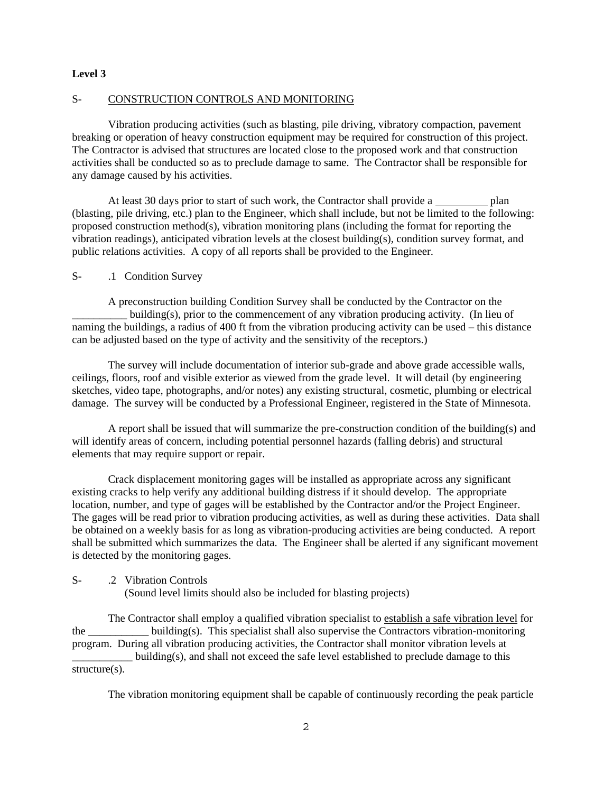# **Level 3**

## S- CONSTRUCTION CONTROLS AND MONITORING

 Vibration producing activities (such as blasting, pile driving, vibratory compaction, pavement breaking or operation of heavy construction equipment may be required for construction of this project. The Contractor is advised that structures are located close to the proposed work and that construction activities shall be conducted so as to preclude damage to same. The Contractor shall be responsible for any damage caused by his activities.

At least 30 days prior to start of such work, the Contractor shall provide a plan (blasting, pile driving, etc.) plan to the Engineer, which shall include, but not be limited to the following: proposed construction method(s), vibration monitoring plans (including the format for reporting the vibration readings), anticipated vibration levels at the closest building(s), condition survey format, and public relations activities. A copy of all reports shall be provided to the Engineer.

# S- .1 Condition Survey

 A preconstruction building Condition Survey shall be conducted by the Contractor on the building(s), prior to the commencement of any vibration producing activity. (In lieu of naming the buildings, a radius of 400 ft from the vibration producing activity can be used – this distance can be adjusted based on the type of activity and the sensitivity of the receptors.)

 The survey will include documentation of interior sub-grade and above grade accessible walls, ceilings, floors, roof and visible exterior as viewed from the grade level. It will detail (by engineering sketches, video tape, photographs, and/or notes) any existing structural, cosmetic, plumbing or electrical damage. The survey will be conducted by a Professional Engineer, registered in the State of Minnesota.

 A report shall be issued that will summarize the pre-construction condition of the building(s) and will identify areas of concern, including potential personnel hazards (falling debris) and structural elements that may require support or repair.

 Crack displacement monitoring gages will be installed as appropriate across any significant existing cracks to help verify any additional building distress if it should develop. The appropriate location, number, and type of gages will be established by the Contractor and/or the Project Engineer. The gages will be read prior to vibration producing activities, as well as during these activities. Data shall be obtained on a weekly basis for as long as vibration-producing activities are being conducted. A report shall be submitted which summarizes the data. The Engineer shall be alerted if any significant movement is detected by the monitoring gages.

S- .2 Vibration Controls

(Sound level limits should also be included for blasting projects)

 The Contractor shall employ a qualified vibration specialist to establish a safe vibration level for  $t$  the building(s). This specialist shall also supervise the Contractors vibration-monitoring program. During all vibration producing activities, the Contractor shall monitor vibration levels at  $building(s), and shall not exceed the safe level established to preclude damage to this$ structure(s).

The vibration monitoring equipment shall be capable of continuously recording the peak particle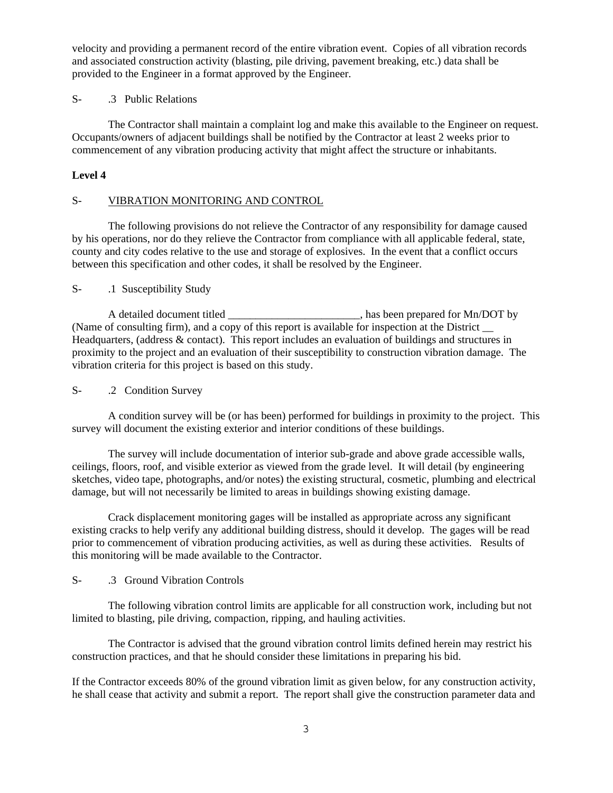velocity and providing a permanent record of the entire vibration event. Copies of all vibration records and associated construction activity (blasting, pile driving, pavement breaking, etc.) data shall be provided to the Engineer in a format approved by the Engineer.

# S- .3 Public Relations

 The Contractor shall maintain a complaint log and make this available to the Engineer on request. Occupants/owners of adjacent buildings shall be notified by the Contractor at least 2 weeks prior to commencement of any vibration producing activity that might affect the structure or inhabitants.

## **Level 4**

# S- VIBRATION MONITORING AND CONTROL

 The following provisions do not relieve the Contractor of any responsibility for damage caused by his operations, nor do they relieve the Contractor from compliance with all applicable federal, state, county and city codes relative to the use and storage of explosives. In the event that a conflict occurs between this specification and other codes, it shall be resolved by the Engineer.

# S- .1 Susceptibility Study

A detailed document titled \_\_\_\_\_\_\_\_\_\_\_\_\_\_\_\_\_\_\_\_\_\_\_\_\_, has been prepared for Mn/DOT by (Name of consulting firm), and a copy of this report is available for inspection at the District \_\_ Headquarters, (address & contact). This report includes an evaluation of buildings and structures in proximity to the project and an evaluation of their susceptibility to construction vibration damage. The vibration criteria for this project is based on this study.

## S- .2 Condition Survey

 A condition survey will be (or has been) performed for buildings in proximity to the project. This survey will document the existing exterior and interior conditions of these buildings.

 The survey will include documentation of interior sub-grade and above grade accessible walls, ceilings, floors, roof, and visible exterior as viewed from the grade level. It will detail (by engineering sketches, video tape, photographs, and/or notes) the existing structural, cosmetic, plumbing and electrical damage, but will not necessarily be limited to areas in buildings showing existing damage.

 Crack displacement monitoring gages will be installed as appropriate across any significant existing cracks to help verify any additional building distress, should it develop. The gages will be read prior to commencement of vibration producing activities, as well as during these activities. Results of this monitoring will be made available to the Contractor.

## S- .3 Ground Vibration Controls

 The following vibration control limits are applicable for all construction work, including but not limited to blasting, pile driving, compaction, ripping, and hauling activities.

 The Contractor is advised that the ground vibration control limits defined herein may restrict his construction practices, and that he should consider these limitations in preparing his bid.

If the Contractor exceeds 80% of the ground vibration limit as given below, for any construction activity, he shall cease that activity and submit a report. The report shall give the construction parameter data and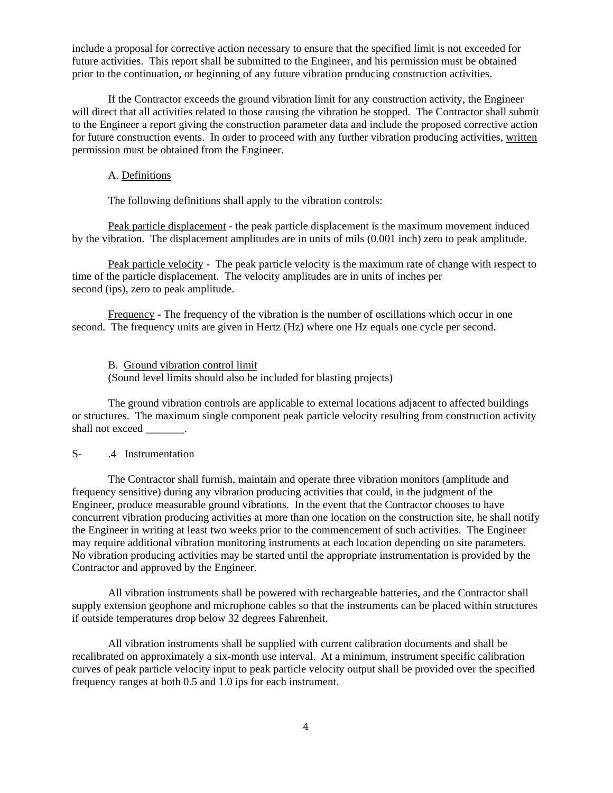include a proposal for corrective action necessary to ensure that the specified limit is not exceeded for future activities. This report shall be submitted to the Engineer, and his permission must be obtained prior to the continuation, or beginning of any future vibration producing construction activities.

 If the Contractor exceeds the ground vibration limit for any construction activity, the Engineer will direct that all activities related to those causing the vibration be stopped. The Contractor shall submit to the Engineer a report giving the construction parameter data and include the proposed corrective action for future construction events. In order to proceed with any further vibration producing activities, written permission must be obtained from the Engineer.

#### A. Definitions

The following definitions shall apply to the vibration controls:

Peak particle displacement - the peak particle displacement is the maximum movement induced by the vibration. The displacement amplitudes are in units of mils (0.001 inch) zero to peak amplitude.

Peak particle velocity - The peak particle velocity is the maximum rate of change with respect to time of the particle displacement. The velocity amplitudes are in units of inches per second (ips), zero to peak amplitude.

 Frequency - The frequency of the vibration is the number of oscillations which occur in one second. The frequency units are given in Hertz (Hz) where one Hz equals one cycle per second.

 B. Ground vibration control limit (Sound level limits should also be included for blasting projects)

 The ground vibration controls are applicable to external locations adjacent to affected buildings or structures. The maximum single component peak particle velocity resulting from construction activity shall not exceed \_\_\_\_\_\_\_.

### S- .4 Instrumentation

 The Contractor shall furnish, maintain and operate three vibration monitors (amplitude and frequency sensitive) during any vibration producing activities that could, in the judgment of the Engineer, produce measurable ground vibrations. In the event that the Contractor chooses to have concurrent vibration producing activities at more than one location on the construction site, he shall notify the Engineer in writing at least two weeks prior to the commencement of such activities. The Engineer may require additional vibration monitoring instruments at each location depending on site parameters. No vibration producing activities may be started until the appropriate instrumentation is provided by the Contractor and approved by the Engineer.

 All vibration instruments shall be powered with rechargeable batteries, and the Contractor shall supply extension geophone and microphone cables so that the instruments can be placed within structures if outside temperatures drop below 32 degrees Fahrenheit.

 All vibration instruments shall be supplied with current calibration documents and shall be recalibrated on approximately a six-month use interval. At a minimum, instrument specific calibration curves of peak particle velocity input to peak particle velocity output shall be provided over the specified frequency ranges at both 0.5 and 1.0 ips for each instrument.